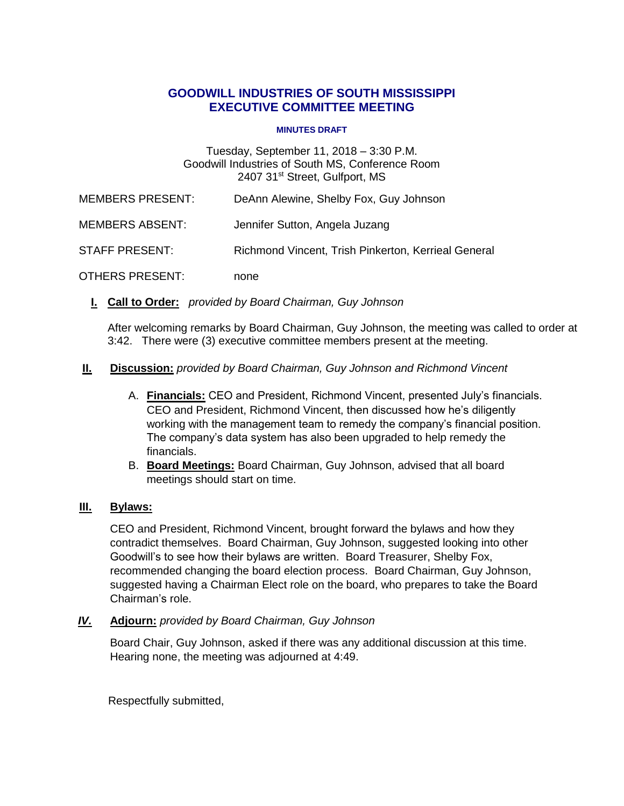# **GOODWILL INDUSTRIES OF SOUTH MISSISSIPPI EXECUTIVE COMMITTEE MEETING**

#### **MINUTES DRAFT**

# Tuesday, September 11, 2018 – 3:30 P.M. Goodwill Industries of South MS, Conference Room 2407 31<sup>st</sup> Street, Gulfport, MS

MEMBERS PRESENT: DeAnn Alewine, Shelby Fox, Guy Johnson

MEMBERS ABSENT: Jennifer Sutton, Angela Juzang

## STAFF PRESENT: Richmond Vincent, Trish Pinkerton, Kerrieal General

OTHERS PRESENT: none

**I. I Call to Order:** *provided by Board Chairman, Guy Johnson*

After welcoming remarks by Board Chairman, Guy Johnson, the meeting was called to order at 3:42. There were (3) executive committee members present at the meeting.

#### **II. Discussion:** *provided by Board Chairman, Guy Johnson and Richmond Vincent*

- A. **Financials:** CEO and President, Richmond Vincent, presented July's financials. CEO and President, Richmond Vincent, then discussed how he's diligently working with the management team to remedy the company's financial position. The company's data system has also been upgraded to help remedy the financials.
- B. **Board Meetings:** Board Chairman, Guy Johnson, advised that all board meetings should start on time.

## **III. Bylaws:**

CEO and President, Richmond Vincent, brought forward the bylaws and how they contradict themselves. Board Chairman, Guy Johnson, suggested looking into other Goodwill's to see how their bylaws are written. Board Treasurer, Shelby Fox, recommended changing the board election process. Board Chairman, Guy Johnson, suggested having a Chairman Elect role on the board, who prepares to take the Board Chairman's role.

#### *IV.* **Adjourn:** *provided by Board Chairman, Guy Johnson*

Board Chair, Guy Johnson, asked if there was any additional discussion at this time. Hearing none, the meeting was adjourned at 4:49.

Respectfully submitted,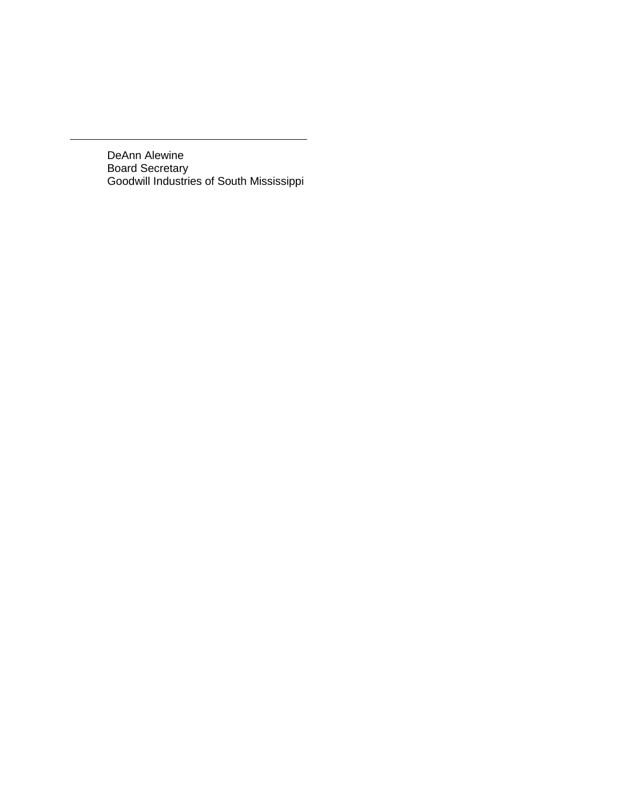DeAnn Alewine Board Secretary Goodwill Industries of South Mississippi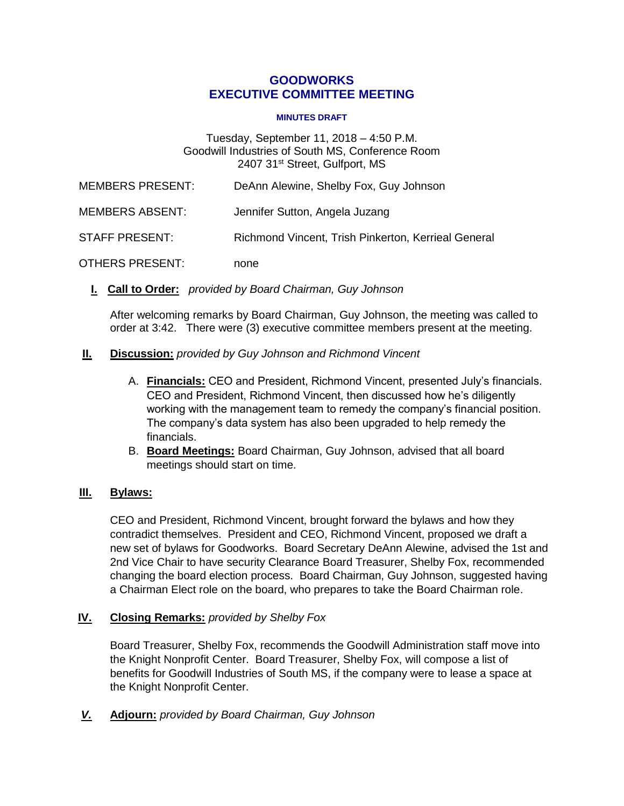## **GOODWORKS EXECUTIVE COMMITTEE MEETING**

#### **MINUTES DRAFT**

#### Tuesday, September 11, 2018 – 4:50 P.M. Goodwill Industries of South MS, Conference Room 2407 31<sup>st</sup> Street, Gulfport, MS

| <b>MEMBERS PRESENT:</b> | DeAnn Alewine, Shelby Fox, Guy Johnson              |
|-------------------------|-----------------------------------------------------|
| MEMBERS ABSENT:         | Jennifer Sutton, Angela Juzang                      |
| STAFF PRESENT:          | Richmond Vincent, Trish Pinkerton, Kerrieal General |
| OTHERS PRESENT:         | none                                                |

**I. I Call to Order:** *provided by Board Chairman, Guy Johnson*

After welcoming remarks by Board Chairman, Guy Johnson, the meeting was called to order at 3:42. There were (3) executive committee members present at the meeting.

## **II. Discussion:** *provided by Guy Johnson and Richmond Vincent*

- A. **Financials:** CEO and President, Richmond Vincent, presented July's financials. CEO and President, Richmond Vincent, then discussed how he's diligently working with the management team to remedy the company's financial position. The company's data system has also been upgraded to help remedy the financials.
- B. **Board Meetings:** Board Chairman, Guy Johnson, advised that all board meetings should start on time.

# **III. Bylaws:**

CEO and President, Richmond Vincent, brought forward the bylaws and how they contradict themselves. President and CEO, Richmond Vincent, proposed we draft a new set of bylaws for Goodworks. Board Secretary DeAnn Alewine, advised the 1st and 2nd Vice Chair to have security Clearance Board Treasurer, Shelby Fox, recommended changing the board election process. Board Chairman, Guy Johnson, suggested having a Chairman Elect role on the board, who prepares to take the Board Chairman role.

## **IV. Closing Remarks:** *provided by Shelby Fox*

Board Treasurer, Shelby Fox, recommends the Goodwill Administration staff move into the Knight Nonprofit Center. Board Treasurer, Shelby Fox, will compose a list of benefits for Goodwill Industries of South MS, if the company were to lease a space at the Knight Nonprofit Center.

*V.* **Adjourn:** *provided by Board Chairman, Guy Johnson*